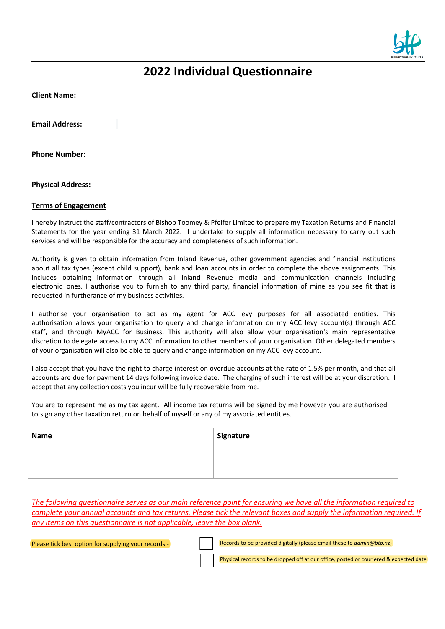

# **2022 Individual Questionnaire**

**Client Name:**

**Email Address:**

**Phone Number:**

**Physical Address:**

#### **Terms of Engagement**

I hereby instruct the staff/contractors of Bishop Toomey & Pfeifer Limited to prepare my Taxation Returns and Financial Statements for the year ending 31 March 2022. I undertake to supply all information necessary to carry out such services and will be responsible for the accuracy and completeness of such information.

Authority is given to obtain information from Inland Revenue, other government agencies and financial institutions about all tax types (except child support), bank and loan accounts in order to complete the above assignments. This includes obtaining information through all Inland Revenue media and communication channels including electronic ones. I authorise you to furnish to any third party, financial information of mine as you see fit that is requested in furtherance of my business activities.

I authorise your organisation to act as my agent for ACC levy purposes for all associated entities. This authorisation allows your organisation to query and change information on my ACC levy account(s) through ACC staff, and through MyACC for Business. This authority will also allow your organisation's main representative discretion to delegate access to my ACC information to other members of your organisation. Other delegated members of your organisation will also be able to query and change information on my ACC levy account.

I also accept that you have the right to charge interest on overdue accounts at the rate of 1.5% per month, and that all accounts are due for payment 14 days following invoice date. The charging of such interest will be at your discretion. I accept that any collection costs you incur will be fully recoverable from me.

You are to represent me as my tax agent. All income tax returns will be signed by me however you are authorised to sign any other taxation return on behalf of myself or any of my associated entities.

| <b>Name</b> | Signature |
|-------------|-----------|
|             |           |
|             |           |
|             |           |

*The following questionnaire serves as our main reference point for ensuring we have all the information required to complete your annual accounts and tax returns. Please tick the relevant boxes and supply the information required. If any items on this questionnaire is not applicable, leave the box blank.*

Please tick best option for supplying your records:- Records to be provided digitally (please email these to *[admin@btp.nz](mailto:admin@btp.nz)*)

Physical records to be dropped off at our office, posted or couriered & expected date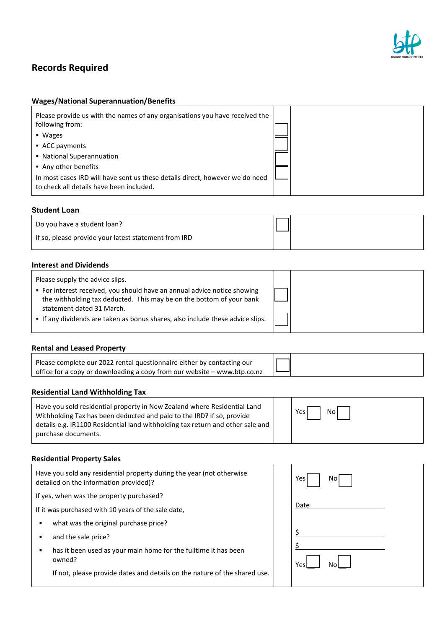

# **Records Required**

# **Wages/National Superannuation/Benefits**

| Please provide us with the names of any organisations you have received the<br>following from:<br>$\blacksquare$ Wages<br>• ACC payments |  |
|------------------------------------------------------------------------------------------------------------------------------------------|--|
| • National Superannuation<br>• Any other benefits                                                                                        |  |
| In most cases IRD will have sent us these details direct, however we do need<br>to check all details have been included.                 |  |

#### **Student Loan**

| Do you have a student loan?                          |  |
|------------------------------------------------------|--|
| If so, please provide your latest statement from IRD |  |

#### **Interest and Dividends**

| Please supply the advice slips.                                                                                                                                                                                                                                 |  |
|-----------------------------------------------------------------------------------------------------------------------------------------------------------------------------------------------------------------------------------------------------------------|--|
| • For interest received, you should have an annual advice notice showing<br>the withholding tax deducted. This may be on the bottom of your bank<br>statement dated 31 March.<br>• If any dividends are taken as bonus shares, also include these advice slips. |  |
|                                                                                                                                                                                                                                                                 |  |

#### **Rental and Leased Property**

| Please complete our 2022 rental questionnaire either by contacting our   |
|--------------------------------------------------------------------------|
| office for a copy or downloading a copy from our website – www.btp.co.nz |

# **Residential Land Withholding Tax**

| Have you sold residential property in New Zealand where Residential Land<br>Withholding Tax has been deducted and paid to the IRD? If so, provide<br>details e.g. IR1100 Residential land withholding tax return and other sale and<br>purchase documents. |  | Yes<br>Nol |
|------------------------------------------------------------------------------------------------------------------------------------------------------------------------------------------------------------------------------------------------------------|--|------------|
|------------------------------------------------------------------------------------------------------------------------------------------------------------------------------------------------------------------------------------------------------------|--|------------|

# **Residential Property Sales**

| Have you sold any residential property during the year (not otherwise<br>detailed on the information provided)? | Yes.<br>Nol |
|-----------------------------------------------------------------------------------------------------------------|-------------|
| If yes, when was the property purchased?                                                                        |             |
| If it was purchased with 10 years of the sale date,                                                             | Date        |
| what was the original purchase price?<br>٠                                                                      |             |
| and the sale price?<br>٠                                                                                        |             |
| has it been used as your main home for the fulltime it has been<br>٠<br>owned?                                  | Yes         |
| If not, please provide dates and details on the nature of the shared use.                                       |             |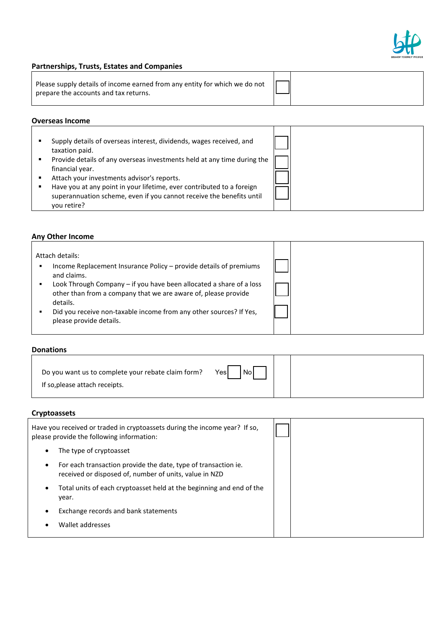

٦

#### **Partnerships, Trusts, Estates and Companies**

| Please supply details of income earned from any entity for which we do not $\Box$<br>prepare the accounts and tax returns. |  |  |
|----------------------------------------------------------------------------------------------------------------------------|--|--|
|----------------------------------------------------------------------------------------------------------------------------|--|--|

۳.

# **Overseas Income**

|--|

# **Any Other Income**

| Attach details:                                                                                                                                   |  |
|---------------------------------------------------------------------------------------------------------------------------------------------------|--|
| Income Replacement Insurance Policy - provide details of premiums<br>п<br>and claims.                                                             |  |
| Look Through Company - if you have been allocated a share of a loss<br>other than from a company that we are aware of, please provide<br>details. |  |
| Did you receive non-taxable income from any other sources? If Yes,<br>please provide details.                                                     |  |

#### **Donations**

| Do you want us to complete your rebate claim form? | Yes<br><b>No</b> |  |
|----------------------------------------------------|------------------|--|
| If so, please attach receipts.                     |                  |  |

### **Cryptoassets**

| Have you received or traded in cryptoassets during the income year? If so,<br>please provide the following information:  |  |
|--------------------------------------------------------------------------------------------------------------------------|--|
| The type of cryptoasset<br>٠                                                                                             |  |
| For each transaction provide the date, type of transaction ie.<br>received or disposed of, number of units, value in NZD |  |
| Total units of each cryptoasset held at the beginning and end of the<br>٠<br>year.                                       |  |
| Exchange records and bank statements                                                                                     |  |
| Wallet addresses                                                                                                         |  |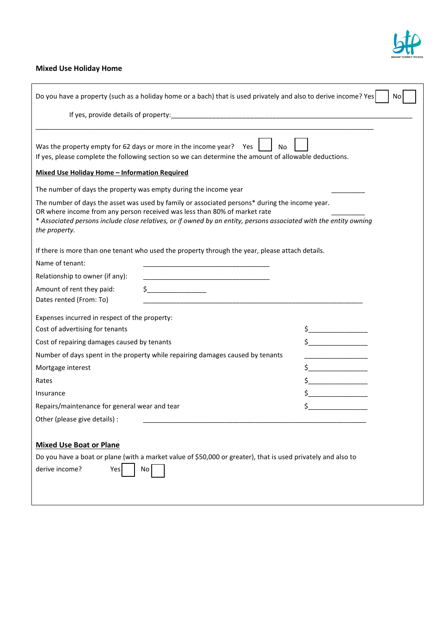

# **Mixed Use Holiday Home**

| Do you have a property (such as a holiday home or a bach) that is used privately and also to derive income? Yes<br>No                                                                                                                                                                                             |                                      |  |  |  |  |  |
|-------------------------------------------------------------------------------------------------------------------------------------------------------------------------------------------------------------------------------------------------------------------------------------------------------------------|--------------------------------------|--|--|--|--|--|
|                                                                                                                                                                                                                                                                                                                   |                                      |  |  |  |  |  |
|                                                                                                                                                                                                                                                                                                                   |                                      |  |  |  |  |  |
| Was the property empty for 62 days or more in the income year? Yes<br><b>No</b><br>If yes, please complete the following section so we can determine the amount of allowable deductions.<br><b>Mixed Use Holiday Home - Information Required</b>                                                                  |                                      |  |  |  |  |  |
| The number of days the property was empty during the income year                                                                                                                                                                                                                                                  |                                      |  |  |  |  |  |
| The number of days the asset was used by family or associated persons* during the income year.<br>OR where income from any person received was less than 80% of market rate<br>* Associated persons include close relatives, or if owned by an entity, persons associated with the entity owning<br>the property. |                                      |  |  |  |  |  |
| If there is more than one tenant who used the property through the year, please attach details.                                                                                                                                                                                                                   |                                      |  |  |  |  |  |
| Name of tenant:                                                                                                                                                                                                                                                                                                   |                                      |  |  |  |  |  |
| Relationship to owner (if any):                                                                                                                                                                                                                                                                                   |                                      |  |  |  |  |  |
| $\updownarrow$<br>Amount of rent they paid:<br>Dates rented (From: To)<br><u> 1980 - Johann Barn, mars an t-Amerikaansk politiker (</u>                                                                                                                                                                           |                                      |  |  |  |  |  |
| Expenses incurred in respect of the property:                                                                                                                                                                                                                                                                     |                                      |  |  |  |  |  |
| Cost of advertising for tenants                                                                                                                                                                                                                                                                                   |                                      |  |  |  |  |  |
| Cost of repairing damages caused by tenants                                                                                                                                                                                                                                                                       | $\ddot{\mathsf{s}}$ and $\mathsf{S}$ |  |  |  |  |  |
| Number of days spent in the property while repairing damages caused by tenants                                                                                                                                                                                                                                    |                                      |  |  |  |  |  |
| Mortgage interest                                                                                                                                                                                                                                                                                                 |                                      |  |  |  |  |  |
| Rates                                                                                                                                                                                                                                                                                                             |                                      |  |  |  |  |  |
| Insurance                                                                                                                                                                                                                                                                                                         |                                      |  |  |  |  |  |
| Repairs/maintenance for general wear and tear                                                                                                                                                                                                                                                                     |                                      |  |  |  |  |  |
| Other (please give details) :                                                                                                                                                                                                                                                                                     |                                      |  |  |  |  |  |
|                                                                                                                                                                                                                                                                                                                   |                                      |  |  |  |  |  |
| <b>Mixed Use Boat or Plane</b>                                                                                                                                                                                                                                                                                    |                                      |  |  |  |  |  |
| Do you have a boat or plane (with a market value of \$50,000 or greater), that is used privately and also to                                                                                                                                                                                                      |                                      |  |  |  |  |  |
| derive income?<br>Yes<br>No                                                                                                                                                                                                                                                                                       |                                      |  |  |  |  |  |
|                                                                                                                                                                                                                                                                                                                   |                                      |  |  |  |  |  |
|                                                                                                                                                                                                                                                                                                                   |                                      |  |  |  |  |  |
|                                                                                                                                                                                                                                                                                                                   |                                      |  |  |  |  |  |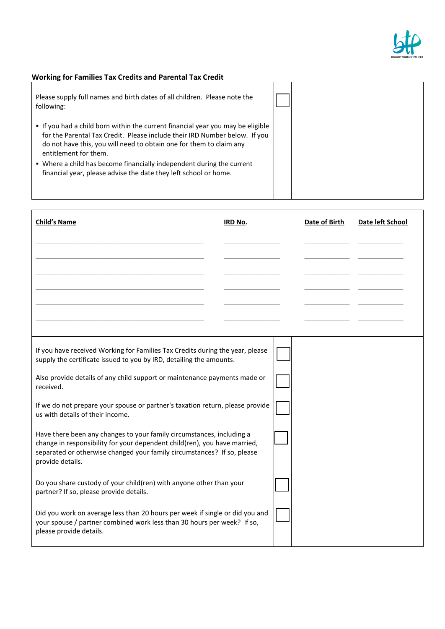

# **Working for Families Tax Credits and Parental Tax Credit**

| Please supply full names and birth dates of all children. Please note the<br>following:                                                                                                                                                                       |  |
|---------------------------------------------------------------------------------------------------------------------------------------------------------------------------------------------------------------------------------------------------------------|--|
| • If you had a child born within the current financial year you may be eligible<br>for the Parental Tax Credit. Please include their IRD Number below. If you<br>do not have this, you will need to obtain one for them to claim any<br>entitlement for them. |  |
| • Where a child has become financially independent during the current<br>financial year, please advise the date they left school or home.                                                                                                                     |  |

| <b>Child's Name</b>                                                                                                                                                                                                                               | IRD No. |  | Date of Birth | Date left School |
|---------------------------------------------------------------------------------------------------------------------------------------------------------------------------------------------------------------------------------------------------|---------|--|---------------|------------------|
|                                                                                                                                                                                                                                                   |         |  |               |                  |
|                                                                                                                                                                                                                                                   |         |  |               |                  |
|                                                                                                                                                                                                                                                   |         |  |               |                  |
|                                                                                                                                                                                                                                                   |         |  |               |                  |
|                                                                                                                                                                                                                                                   |         |  |               |                  |
| If you have received Working for Families Tax Credits during the year, please<br>supply the certificate issued to you by IRD, detailing the amounts.                                                                                              |         |  |               |                  |
| Also provide details of any child support or maintenance payments made or<br>received.                                                                                                                                                            |         |  |               |                  |
| If we do not prepare your spouse or partner's taxation return, please provide<br>us with details of their income.                                                                                                                                 |         |  |               |                  |
| Have there been any changes to your family circumstances, including a<br>change in responsibility for your dependent child(ren), you have married,<br>separated or otherwise changed your family circumstances? If so, please<br>provide details. |         |  |               |                  |
| Do you share custody of your child(ren) with anyone other than your<br>partner? If so, please provide details.                                                                                                                                    |         |  |               |                  |
| Did you work on average less than 20 hours per week if single or did you and<br>your spouse / partner combined work less than 30 hours per week? If so,<br>please provide details.                                                                |         |  |               |                  |